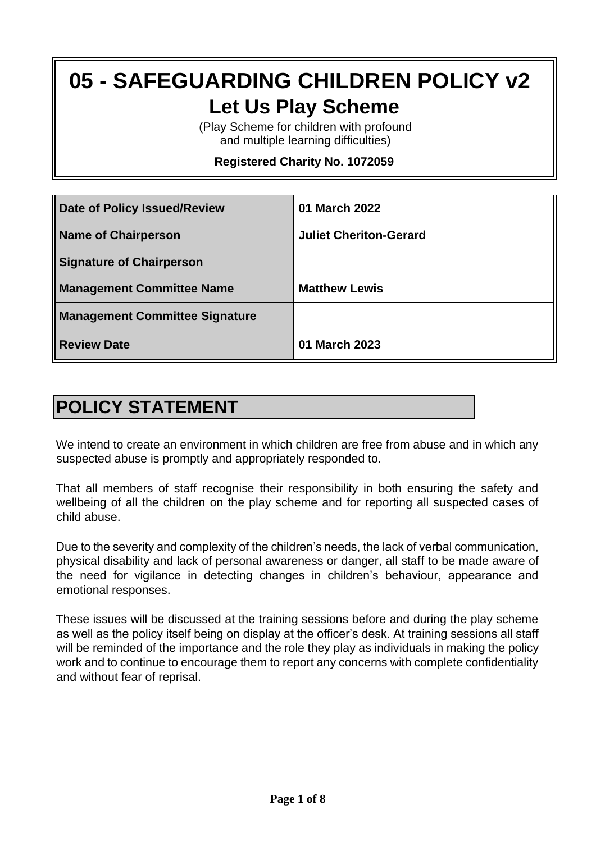# **05 - SAFEGUARDING CHILDREN POLICY v2 Let Us Play Scheme**

(Play Scheme for children with profound and multiple learning difficulties)

**Registered Charity No. 1072059**

| <b>Date of Policy Issued/Review</b>   | 01 March 2022                 |
|---------------------------------------|-------------------------------|
| <b>Name of Chairperson</b>            | <b>Juliet Cheriton-Gerard</b> |
| <b>Signature of Chairperson</b>       |                               |
| <b>Management Committee Name</b>      | <b>Matthew Lewis</b>          |
| <b>Management Committee Signature</b> |                               |
| <b>Review Date</b>                    | 01 March 2023                 |

## **POLICY STATEMENT**

We intend to create an environment in which children are free from abuse and in which any suspected abuse is promptly and appropriately responded to.

That all members of staff recognise their responsibility in both ensuring the safety and wellbeing of all the children on the play scheme and for reporting all suspected cases of child abuse.

Due to the severity and complexity of the children's needs, the lack of verbal communication, physical disability and lack of personal awareness or danger, all staff to be made aware of the need for vigilance in detecting changes in children's behaviour, appearance and emotional responses.

These issues will be discussed at the training sessions before and during the play scheme as well as the policy itself being on display at the officer's desk. At training sessions all staff will be reminded of the importance and the role they play as individuals in making the policy work and to continue to encourage them to report any concerns with complete confidentiality and without fear of reprisal.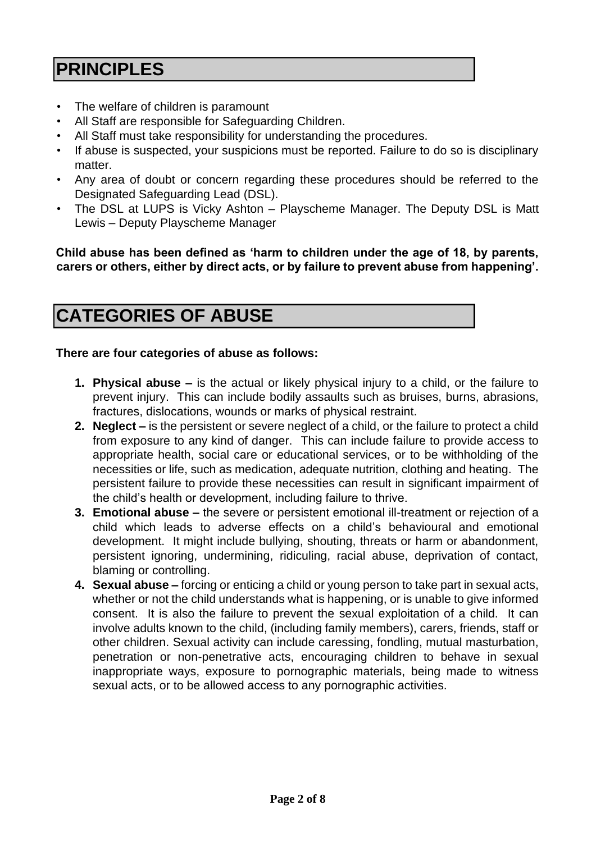## **PRINCIPLES**

- The welfare of children is paramount
- All Staff are responsible for Safeguarding Children.
- All Staff must take responsibility for understanding the procedures.
- If abuse is suspected, your suspicions must be reported. Failure to do so is disciplinary matter.
- Any area of doubt or concern regarding these procedures should be referred to the Designated Safeguarding Lead (DSL).
- The DSL at LUPS is Vicky Ashton Playscheme Manager. The Deputy DSL is Matt Lewis – Deputy Playscheme Manager

**Child abuse has been defined as 'harm to children under the age of 18, by parents, carers or others, either by direct acts, or by failure to prevent abuse from happening'.** 

## **CATEGORIES OF ABUSE**

#### **There are four categories of abuse as follows:**

- **1. Physical abuse –** is the actual or likely physical injury to a child, or the failure to prevent injury. This can include bodily assaults such as bruises, burns, abrasions, fractures, dislocations, wounds or marks of physical restraint.
- **2. Neglect –** is the persistent or severe neglect of a child, or the failure to protect a child from exposure to any kind of danger. This can include failure to provide access to appropriate health, social care or educational services, or to be withholding of the necessities or life, such as medication, adequate nutrition, clothing and heating. The persistent failure to provide these necessities can result in significant impairment of the child's health or development, including failure to thrive.
- **3. Emotional abuse –** the severe or persistent emotional ill-treatment or rejection of a child which leads to adverse effects on a child's behavioural and emotional development. It might include bullying, shouting, threats or harm or abandonment, persistent ignoring, undermining, ridiculing, racial abuse, deprivation of contact, blaming or controlling.
- **4. Sexual abuse –** forcing or enticing a child or young person to take part in sexual acts, whether or not the child understands what is happening, or is unable to give informed consent. It is also the failure to prevent the sexual exploitation of a child. It can involve adults known to the child, (including family members), carers, friends, staff or other children. Sexual activity can include caressing, fondling, mutual masturbation, penetration or non-penetrative acts, encouraging children to behave in sexual inappropriate ways, exposure to pornographic materials, being made to witness sexual acts, or to be allowed access to any pornographic activities.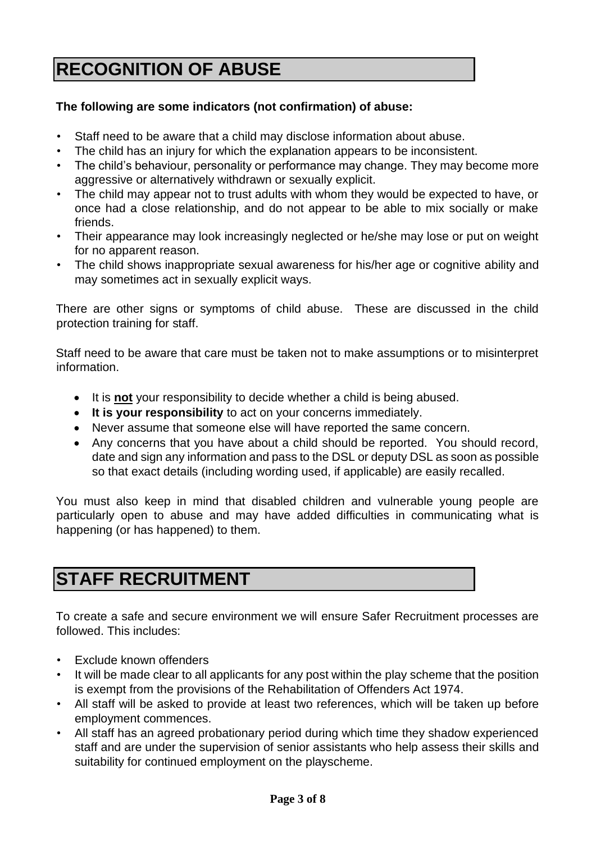## **RECOGNITION OF ABUSE**

#### **The following are some indicators (not confirmation) of abuse:**

- Staff need to be aware that a child may disclose information about abuse.
- The child has an injury for which the explanation appears to be inconsistent.
- The child's behaviour, personality or performance may change. They may become more aggressive or alternatively withdrawn or sexually explicit.
- The child may appear not to trust adults with whom they would be expected to have, or once had a close relationship, and do not appear to be able to mix socially or make friends.
- Their appearance may look increasingly neglected or he/she may lose or put on weight for no apparent reason.
- The child shows inappropriate sexual awareness for his/her age or cognitive ability and may sometimes act in sexually explicit ways.

There are other signs or symptoms of child abuse. These are discussed in the child protection training for staff.

Staff need to be aware that care must be taken not to make assumptions or to misinterpret information.

- It is **not** your responsibility to decide whether a child is being abused.
- **It is your responsibility** to act on your concerns immediately.
- Never assume that someone else will have reported the same concern.
- Any concerns that you have about a child should be reported. You should record, date and sign any information and pass to the DSL or deputy DSL as soon as possible so that exact details (including wording used, if applicable) are easily recalled.

You must also keep in mind that disabled children and vulnerable young people are particularly open to abuse and may have added difficulties in communicating what is happening (or has happened) to them.

## **STAFF RECRUITMENT**

To create a safe and secure environment we will ensure Safer Recruitment processes are followed. This includes:

- Exclude known offenders
- It will be made clear to all applicants for any post within the play scheme that the position is exempt from the provisions of the Rehabilitation of Offenders Act 1974.
- All staff will be asked to provide at least two references, which will be taken up before employment commences.
- All staff has an agreed probationary period during which time they shadow experienced staff and are under the supervision of senior assistants who help assess their skills and suitability for continued employment on the playscheme.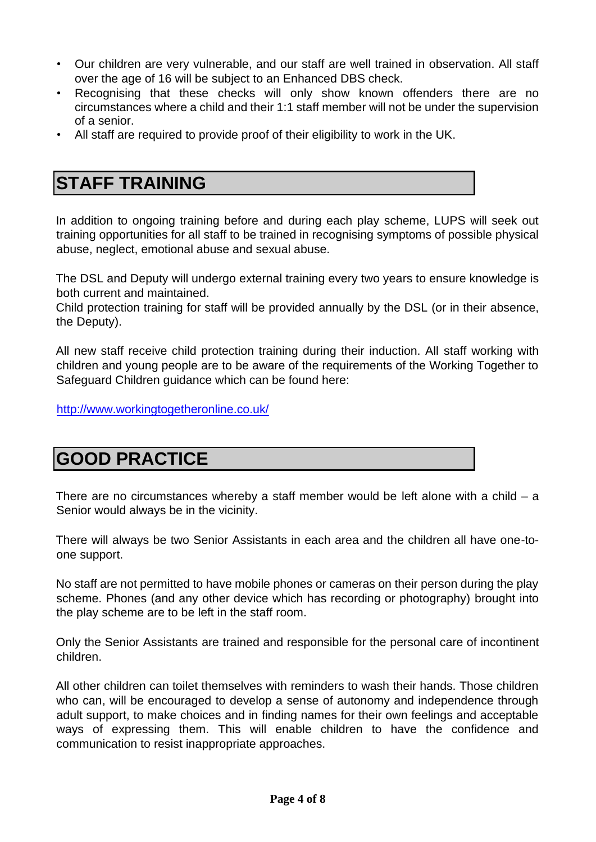- Our children are very vulnerable, and our staff are well trained in observation. All staff over the age of 16 will be subject to an Enhanced DBS check.
- Recognising that these checks will only show known offenders there are no circumstances where a child and their 1:1 staff member will not be under the supervision of a senior.
- All staff are required to provide proof of their eligibility to work in the UK.

### **STAFF TRAINING**

In addition to ongoing training before and during each play scheme, LUPS will seek out training opportunities for all staff to be trained in recognising symptoms of possible physical abuse, neglect, emotional abuse and sexual abuse.

The DSL and Deputy will undergo external training every two years to ensure knowledge is both current and maintained.

Child protection training for staff will be provided annually by the DSL (or in their absence, the Deputy).

All new staff receive child protection training during their induction. All staff working with children and young people are to be aware of the requirements of the Working Together to Safeguard Children guidance which can be found here:

<http://www.workingtogetheronline.co.uk/>

#### **GOOD PRACTICE**

There are no circumstances whereby a staff member would be left alone with a child  $-$  a Senior would always be in the vicinity.

There will always be two Senior Assistants in each area and the children all have one-toone support.

No staff are not permitted to have mobile phones or cameras on their person during the play scheme. Phones (and any other device which has recording or photography) brought into the play scheme are to be left in the staff room.

Only the Senior Assistants are trained and responsible for the personal care of incontinent children.

All other children can toilet themselves with reminders to wash their hands. Those children who can, will be encouraged to develop a sense of autonomy and independence through adult support, to make choices and in finding names for their own feelings and acceptable ways of expressing them. This will enable children to have the confidence and communication to resist inappropriate approaches.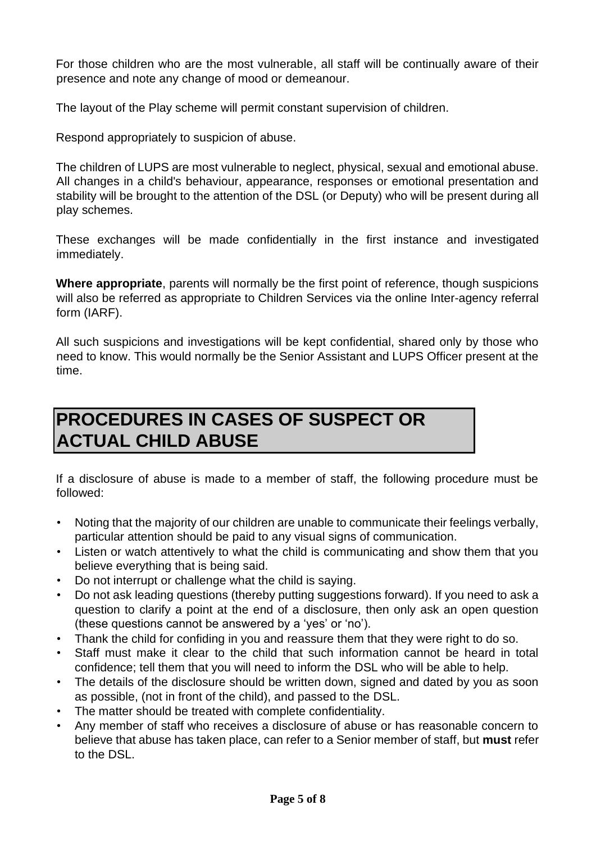For those children who are the most vulnerable, all staff will be continually aware of their presence and note any change of mood or demeanour.

The layout of the Play scheme will permit constant supervision of children.

Respond appropriately to suspicion of abuse.

The children of LUPS are most vulnerable to neglect, physical, sexual and emotional abuse. All changes in a child's behaviour, appearance, responses or emotional presentation and stability will be brought to the attention of the DSL (or Deputy) who will be present during all play schemes.

These exchanges will be made confidentially in the first instance and investigated immediately.

**Where appropriate**, parents will normally be the first point of reference, though suspicions will also be referred as appropriate to Children Services via the online Inter-agency referral form (IARF).

All such suspicions and investigations will be kept confidential, shared only by those who need to know. This would normally be the Senior Assistant and LUPS Officer present at the time.

## **PROCEDURES IN CASES OF SUSPECT OR ACTUAL CHILD ABUSE**

If a disclosure of abuse is made to a member of staff, the following procedure must be followed:

- Noting that the majority of our children are unable to communicate their feelings verbally, particular attention should be paid to any visual signs of communication.
- Listen or watch attentively to what the child is communicating and show them that you believe everything that is being said.
- Do not interrupt or challenge what the child is saying.
- Do not ask leading questions (thereby putting suggestions forward). If you need to ask a question to clarify a point at the end of a disclosure, then only ask an open question (these questions cannot be answered by a 'yes' or 'no').
- Thank the child for confiding in you and reassure them that they were right to do so.
- Staff must make it clear to the child that such information cannot be heard in total confidence; tell them that you will need to inform the DSL who will be able to help.
- The details of the disclosure should be written down, signed and dated by you as soon as possible, (not in front of the child), and passed to the DSL.
- The matter should be treated with complete confidentiality.
- Any member of staff who receives a disclosure of abuse or has reasonable concern to believe that abuse has taken place, can refer to a Senior member of staff, but **must** refer to the DSL.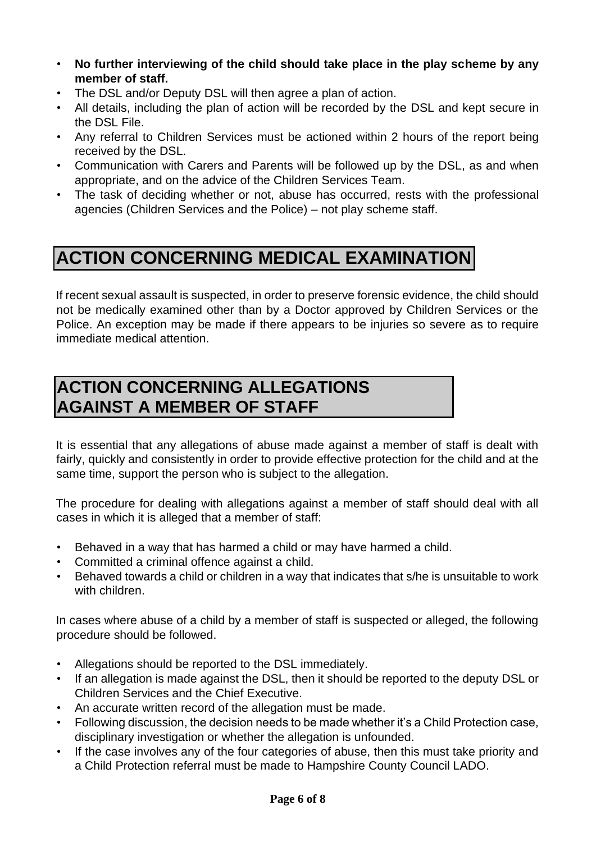- **No further interviewing of the child should take place in the play scheme by any member of staff.**
- The DSL and/or Deputy DSL will then agree a plan of action.
- All details, including the plan of action will be recorded by the DSL and kept secure in the DSL File.
- Any referral to Children Services must be actioned within 2 hours of the report being received by the DSL.
- Communication with Carers and Parents will be followed up by the DSL, as and when appropriate, and on the advice of the Children Services Team.
- The task of deciding whether or not, abuse has occurred, rests with the professional agencies (Children Services and the Police) – not play scheme staff.

## **ACTION CONCERNING MEDICAL EXAMINATION**

If recent sexual assault is suspected, in order to preserve forensic evidence, the child should not be medically examined other than by a Doctor approved by Children Services or the Police. An exception may be made if there appears to be injuries so severe as to require immediate medical attention.

### **ACTION CONCERNING ALLEGATIONS AGAINST A MEMBER OF STAFF**

It is essential that any allegations of abuse made against a member of staff is dealt with fairly, quickly and consistently in order to provide effective protection for the child and at the same time, support the person who is subject to the allegation.

The procedure for dealing with allegations against a member of staff should deal with all cases in which it is alleged that a member of staff:

- Behaved in a way that has harmed a child or may have harmed a child.
- Committed a criminal offence against a child.
- Behaved towards a child or children in a way that indicates that s/he is unsuitable to work with children.

In cases where abuse of a child by a member of staff is suspected or alleged, the following procedure should be followed.

- Allegations should be reported to the DSL immediately.
- If an allegation is made against the DSL, then it should be reported to the deputy DSL or Children Services and the Chief Executive.
- An accurate written record of the allegation must be made.
- Following discussion, the decision needs to be made whether it's a Child Protection case, disciplinary investigation or whether the allegation is unfounded.
- If the case involves any of the four categories of abuse, then this must take priority and a Child Protection referral must be made to Hampshire County Council LADO.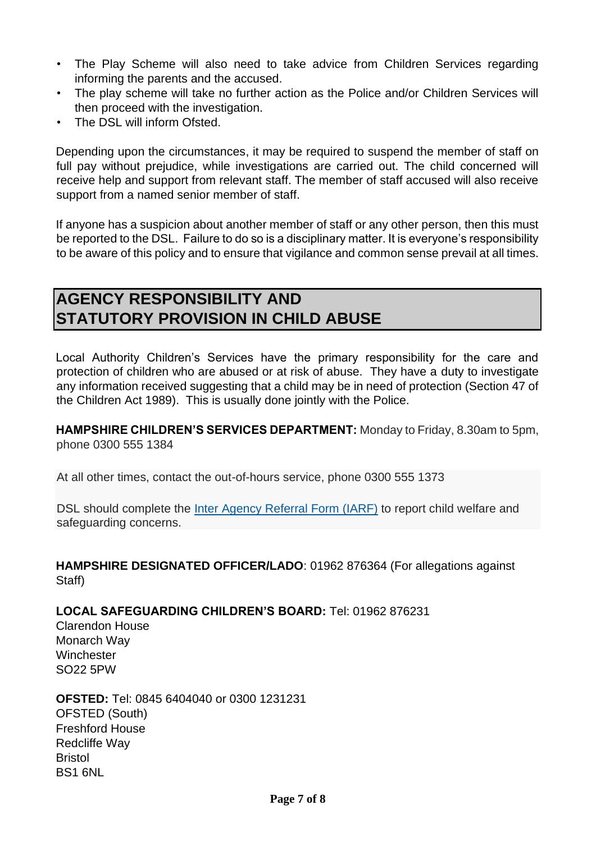- The Play Scheme will also need to take advice from Children Services regarding informing the parents and the accused.
- The play scheme will take no further action as the Police and/or Children Services will then proceed with the investigation.
- The DSL will inform Ofsted.

Depending upon the circumstances, it may be required to suspend the member of staff on full pay without prejudice, while investigations are carried out. The child concerned will receive help and support from relevant staff. The member of staff accused will also receive support from a named senior member of staff.

If anyone has a suspicion about another member of staff or any other person, then this must be reported to the DSL. Failure to do so is a disciplinary matter. It is everyone's responsibility to be aware of this policy and to ensure that vigilance and common sense prevail at all times.

#### **AGENCY RESPONSIBILITY AND STATUTORY PROVISION IN CHILD ABUSE**

Local Authority Children's Services have the primary responsibility for the care and protection of children who are abused or at risk of abuse. They have a duty to investigate any information received suggesting that a child may be in need of protection (Section 47 of the Children Act 1989). This is usually done jointly with the Police.

**HAMPSHIRE CHILDREN'S SERVICES DEPARTMENT:** Monday to Friday, 8.30am to 5pm, phone 0300 555 1384

At all other times, contact the out-of-hours service, phone 0300 555 1373

DSL should complete the Inter Agency [Referral](https://forms.hants.gov.uk/en/AchieveForms/?form_uri=sandbox-publish://AF-Process-7e6115a7-b0ba-484d-991f-084c1248ac72/AF-Stage-52cf8e73-0daf-47d4-bb55-0fdad856d3e6/definition.json&redirectlink=/en&cancelRedirectLink=/en) Form (IARF) to report child welfare and safeguarding concerns.

**HAMPSHIRE DESIGNATED OFFICER/LADO**: 01962 876364 (For allegations against Staff)

**LOCAL SAFEGUARDING CHILDREN'S BOARD:** Tel: 01962 876231

Clarendon House Monarch Way **Winchester** SO22 5PW

**OFSTED:** Tel: 0845 6404040 or 0300 1231231 OFSTED (South) Freshford House Redcliffe Way Bristol BS1 6NL